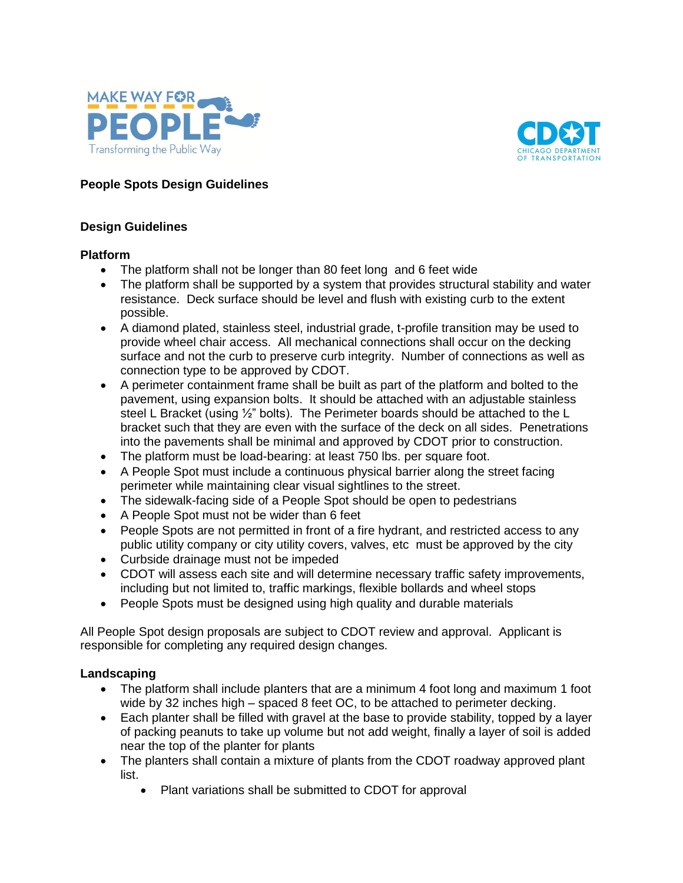



# **People Spots Design Guidelines**

### **Design Guidelines**

### **Platform**

- The platform shall not be longer than 80 feet long and 6 feet wide
- The platform shall be supported by a system that provides structural stability and water resistance. Deck surface should be level and flush with existing curb to the extent possible.
- A diamond plated, stainless steel, industrial grade, t-profile transition may be used to provide wheel chair access. All mechanical connections shall occur on the decking surface and not the curb to preserve curb integrity. Number of connections as well as connection type to be approved by CDOT.
- A perimeter containment frame shall be built as part of the platform and bolted to the pavement, using expansion bolts. It should be attached with an adjustable stainless steel L Bracket (using 1/2" bolts). The Perimeter boards should be attached to the L bracket such that they are even with the surface of the deck on all sides. Penetrations into the pavements shall be minimal and approved by CDOT prior to construction.
- The platform must be load-bearing: at least 750 lbs. per square foot.
- A People Spot must include a continuous physical barrier along the street facing perimeter while maintaining clear visual sightlines to the street.
- The sidewalk-facing side of a People Spot should be open to pedestrians
- A People Spot must not be wider than 6 feet
- People Spots are not permitted in front of a fire hydrant, and restricted access to any public utility company or city utility covers, valves, etc must be approved by the city
- Curbside drainage must not be impeded
- CDOT will assess each site and will determine necessary traffic safety improvements, including but not limited to, traffic markings, flexible bollards and wheel stops
- People Spots must be designed using high quality and durable materials

All People Spot design proposals are subject to CDOT review and approval. Applicant is responsible for completing any required design changes.

### **Landscaping**

- The platform shall include planters that are a minimum 4 foot long and maximum 1 foot wide by 32 inches high – spaced 8 feet OC, to be attached to perimeter decking.
- Each planter shall be filled with gravel at the base to provide stability, topped by a layer of packing peanuts to take up volume but not add weight, finally a layer of soil is added near the top of the planter for plants
- The planters shall contain a mixture of plants from the CDOT roadway approved plant list.
	- Plant variations shall be submitted to CDOT for approval